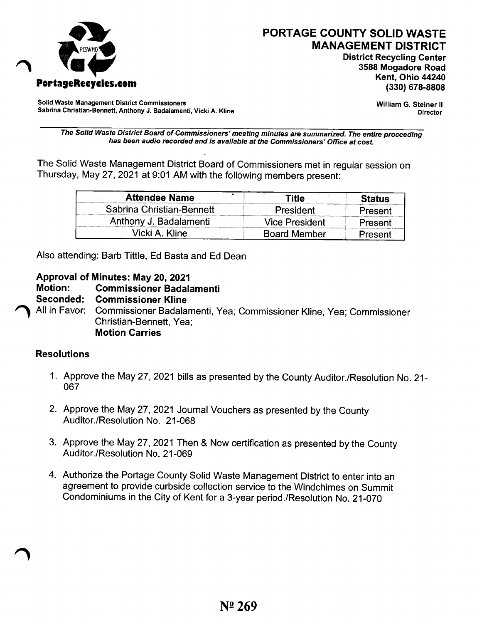

# PORTAGE COUNTY SOLID WASTE MANAGEMENT DISTRICT

District Recycling Center 3588 Mogadore Road

Solid Waste Management District Commissioners Sabrina Christian-Bennett, Anthony J. Badalamenti, Vicki A. Kline William G. Steiner II Director

*The Solid Waste District Board of Commissioners' meeting minutes are summarized. The entire proceeding has been audio recorded and is available at the Commissioners' Office at cost.*

The Solid Waste Management District Board of Commissioners met in regular session on Thursday, May 27,2021 at 9:01 AM with the following members present:

| <b>Attendee Name</b>      | Title               | Status  |
|---------------------------|---------------------|---------|
| Sabrina Christian-Bennett | President           | Present |
| Anthony J. Badalamenti    | Vice President      | Present |
| Vicki A. Kline            | <b>Board Member</b> | Present |

Also attending: Barb Tittle, Ed Basta and Ed Dean

### Approval of Minutes: May 20, 2021

Motion: Commissioner Badalamenti

Seconded: Commissioner Kline

~ All in Favor: Commissioner Badalamenti, Yea; Commissioner Kline, Yea; Commissioner Christian-Bennett, Yea; Motion Carries

#### **Resolutions**

- 1. Approve the May 27, 2021 bills as presented by the County Auditor./Resolution No. 21-067
- 2. Approve the May 27,2021 Journal Vouchers as presented by the County Auditor./Resolution No. 21-068
- 3. Approve the May 27,2021 Then & Now certification as presented by the County Auditor./Resolution No. 21-069
- 4. Authorize the Portage County Solid Waste Management District to enter into an agreement to provide curbside collection service to the Windchimes on Summit Condominiums in the City of Kent for a 3-year period./Resolution No. 21-070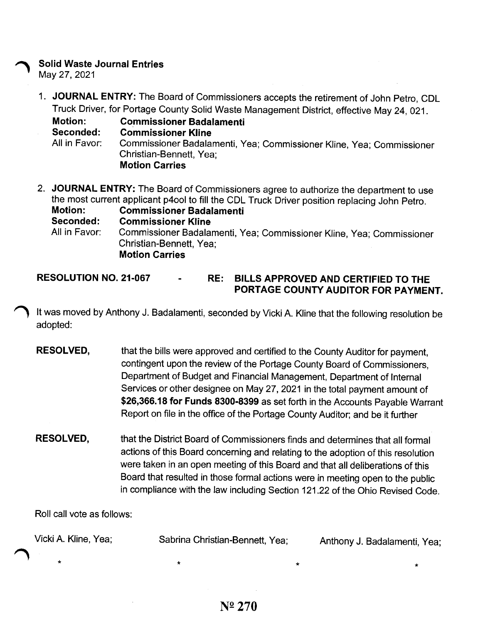#### **Solid Waste Journal Entries**

May 27,2021

1. **JOURNAL ENTRY:** The Board of Commissioners accepts the retirement of John Petro, CDL Truck Driver, for Portage County Solid Waste Management District, effective May 24, 021.

**Motion: Commissioner Badalamenti Seconded: Commissioner Kline** All in Favor: Commissioner Badalamenti, Yea; Commissioner Kline, Yea; Commissioner Christian-Bennett, Yea; **Motion Carries**

- 2. **JOURNAL ENTRY:** The Board of Commissioners agree to authorize the department to use the most current applicant p400l to fill the CDL Truck Driver position replacing John Petro.<br>Motion: Commissioner Badalamenti **Motion: Commissioner Badalamenti Seconded: Commissioner Kline** All in Favor: Commissioner Badalamenti, Yea; Commissioner Kline, Yea; Commissioner Christian-Bennett, Yea; **Motion Carries**
- **RESOLUTION NO. 21-067 RE: BILLS APPROVED AND CERTIFIED TO THE PORTAGE COUNTY AUDITOR FOR PAYMENT.**

It was moved by Anthony J. Badalamenti, seconded by Vicki A. Kline that the following resolution be adopted:

- **RESOLVED,** that the bills were approved and certified to the County Auditor for payment, contingent upon the review of the Portage County Board of Commissioners, Department of Budget and Financial Management, Department of Internal Services or other designee on May 27, 2021 in the total payment amount of \$26,366.18 for Funds 8300-8399 as set forth in the Accounts Payable Warrant Report on file in the office of the Portage County Auditor; and be it further
- **RESOLVED,** that the District Board of Commissioners finds and determines that all formal actions of this Board concerning and relating to the adoption of this resolution were taken in an open meeting of this Board and that all deliberations of this Board that resulted in those formal actions were in meeting open to the public in compliance with the law including Section 121.22 of the Ohio Revised Code.

Roll call vote as follows:

| Vicki A. Kline, Yea; | Sabrina Christian-Bennett, Yea; | Anthony J. Badalamenti, Yea; |  |
|----------------------|---------------------------------|------------------------------|--|
|                      |                                 |                              |  |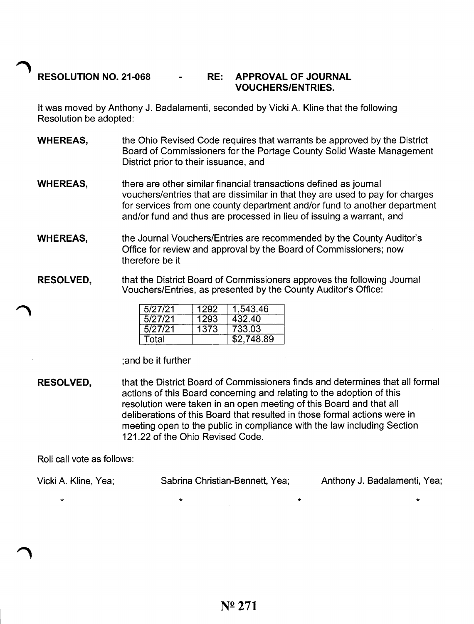## **~ RESOLUTION NO. 21-068 RE:** APPROVAL OF JOURNAL **VOUCHERS/ENTRIES.**

It was moved by Anthony J. Badalamenti, seconded by Vicki A. Kline that the following Resolution be adopted:

- **WHEREAS,** the Ohio Revised Code requires that warrants be approved by the District Board of Commissioners for the Portage County Solid Waste Management District prior to their issuance, and
- **WHEREAS,** there are other similar financial transactions defined as journal vouchers/entries that are dissimilar in that they are used to pay for charges for services from one county department and/or fund to another department and/or fund and thus are processed in lieu of issuing a warrant, and
- **WHEREAS,** the journal Vouchers/Entries are recommended by the County Auditor's Office for review and approval by the Board of Commissioners; now therefore be it
- **RESOLVED,** that the District Board of Commissioners approves the following journal Vouchers/Entries, as presented by the County Auditor's Office:

| 5/27/21 | 1292 | 1,543.46   |
|---------|------|------------|
| 5/27/21 | 1293 | 432.40     |
| 5/27/21 | 1373 | 733.03     |
| Total   |      | \$2.748.89 |

;and be it further

**RESOLVED,** that the District Board of Commissioners finds and determines that all formal actions of this Board concerning and relating to the adoption of this resolution were taken in an open meeting of this Board and that all deliberations of this Board that resulted in those formal actions were in meeting open to the public in compliance with the law including Section 121.22 of the Ohio Revised Code.

Roll call vote as follows:

| Vicki A. Kline, Yea; | Sabrina Christian-Bennett, Yea; | Anthony J. Badalamenti, Yea; |
|----------------------|---------------------------------|------------------------------|
|                      |                                 |                              |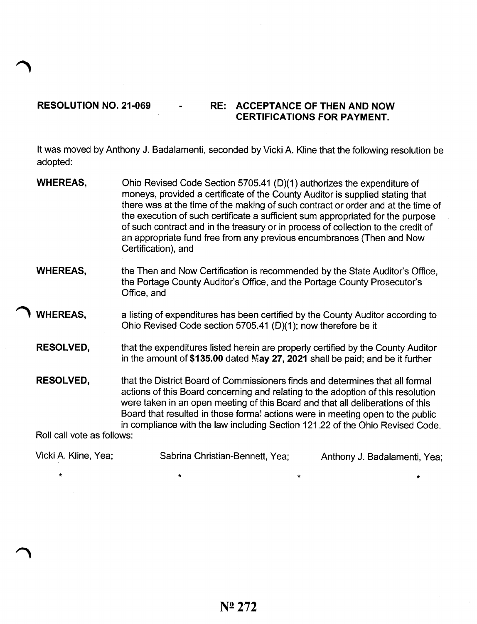## RESOLUTION NO. 21-069 - RE: ACCEPTANCE OF THEN AND NOW CERTIFICATIONS FOR PAYMENT.

It was moved by Anthony J. Badalamenti, seconded by Vicki A. Kline that the following resolution be adopted:

|                                                | <b>WHEREAS,</b>      | Ohio Revised Code Section 5705.41 (D)(1) authorizes the expenditure of<br>moneys, provided a certificate of the County Auditor is supplied stating that<br>there was at the time of the making of such contract or order and at the time of<br>the execution of such certificate a sufficient sum appropriated for the purpose<br>of such contract and in the treasury or in process of collection to the credit of<br>an appropriate fund free from any previous encumbrances (Then and Now<br>Certification), and |                              |
|------------------------------------------------|----------------------|---------------------------------------------------------------------------------------------------------------------------------------------------------------------------------------------------------------------------------------------------------------------------------------------------------------------------------------------------------------------------------------------------------------------------------------------------------------------------------------------------------------------|------------------------------|
|                                                | <b>WHEREAS,</b>      | the Then and Now Certification is recommended by the State Auditor's Office,<br>the Portage County Auditor's Office, and the Portage County Prosecutor's<br>Office, and                                                                                                                                                                                                                                                                                                                                             |                              |
|                                                | <b>WHEREAS,</b>      | a listing of expenditures has been certified by the County Auditor according to<br>Ohio Revised Code section 5705.41 (D)(1); now therefore be it                                                                                                                                                                                                                                                                                                                                                                    |                              |
|                                                | <b>RESOLVED,</b>     | that the expenditures listed herein are properly certified by the County Auditor<br>in the amount of \$135.00 dated May 27, 2021 shall be paid; and be it further                                                                                                                                                                                                                                                                                                                                                   |                              |
| <b>RESOLVED,</b><br>Roll call vote as follows: |                      | that the District Board of Commissioners finds and determines that all formal<br>actions of this Board concerning and relating to the adoption of this resolution<br>were taken in an open meeting of this Board and that all deliberations of this<br>Board that resulted in those forma! actions were in meeting open to the public<br>in compliance with the law including Section 121.22 of the Ohio Revised Code.                                                                                              |                              |
|                                                | Vicki A. Kline, Yea; | Sabrina Christian-Bennett, Yea;                                                                                                                                                                                                                                                                                                                                                                                                                                                                                     | Anthony J. Badalamenti, Yea; |

 $\star$   $\star$   $\star$ 

\*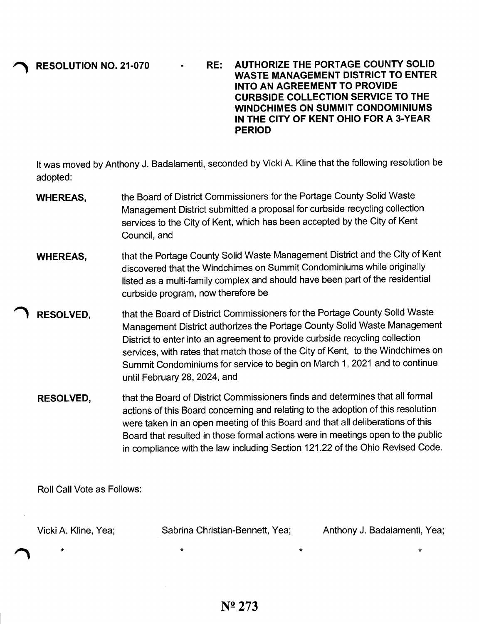**~ RESOLUTION NO. 21-070**

**RE: AUTHORIZE THE PORTAGE COUNTY SOLID WASTE MANAGEMENT DISTRICT TO ENTER INTO AN AGREEMENT TO PROVIDE CURBSIDE COLLECTION SERVICE TO THE WINDCHIMES ON SUMMIT CONDOMINIUMS IN THE CITY OF KENT OHIO FOR A 3-YEAR PERIOD**

It was moved by Anthony J. Badalamenti, seconded by Vicki A. Kline that the following resolution be adopted:

- **WHEREAS,** the Board of District Commissioners for the Portage County Solid Waste Management District submitted a proposal for curbside recycling collection services to the City of Kent, which has been accepted by the City of Kent Council, and
- **WHEREAS,** that the Portage County Solid Waste Management District and the City of Kent discovered that the Windchimes on Summit Condominiums while originally listed as a multi-family complex and should have been part of the residential curbside program, now therefore be
- **., RESOLVED,** that the Board of District Commissioners for the Portage County Solid Waste Management District authorizes the Portage County Solid Waste Management District to enter into an agreement to provide curbside recycling collection services, with rates that match those of the City of Kent, to the Windchimes on Summit Condominiums for service to begin on March 1, 2021 and to continue until February 28, 2024, and
	- **RESOLVED,** that the Board of District Commissioners finds and determines that all formal actions of this Board concerning and relating to the adoption of this resolution were taken in an open meeting of this Board and that all deliberations of this Board that resulted in those formal actions were in meetings open to the public in compliance with the law including Section 121.22 of the Ohio Revised Code.

Roll Call Vote as Follows:

Vicki A. Kline, Yea;

\*

Sabrina Christian-Bennett, Yea; Anthony J. Badalamenti, Yea;

\* \* \*